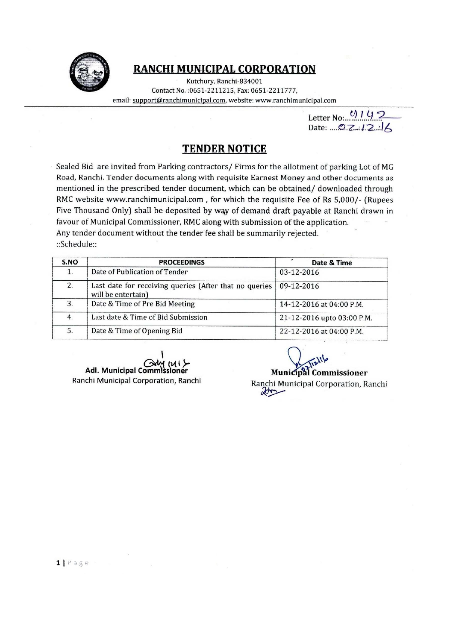

# RANCHI MUNICIPAL CORPORATION

Kutchury, Ranchi-834001 Contact No.: 0651-2211215. Fax: 0651-2211777. email: support@ranchimunicipal.com, website: www.ranchimunicipal.com

Letter No:  $0192$ <br>Date: .... 0.2.1.2.16

## **TENDER NOTICE**

Sealed Bid are invited from Parking contractors/ Firms for the allotment of parking Lot of MG Road, Ranchi. Tender documents along with requisite Earnest Money and other documents as mentioned in the prescribed tender document, which can be obtained/downloaded through RMC website www.ranchimunicipal.com, for which the requisite Fee of Rs 5,000/- (Rupees Five Thousand Only) shall be deposited by way of demand draft payable at Ranchi drawn in favour of Municipal Commissioner, RMC along with submission of the application. Any tender document without the tender fee shall be summarily rejected.

::Schedule::

| S.NO | <b>PROCEEDINGS</b>                                                           | Date & Time                |
|------|------------------------------------------------------------------------------|----------------------------|
| 1.   | Date of Publication of Tender                                                | 03-12-2016                 |
| 2.   | Last date for receiving queries (After that no queries<br>will be entertain) | 09-12-2016                 |
| 3.   | Date & Time of Pre Bid Meeting                                               | 14-12-2016 at 04:00 P.M.   |
| 4.   | Last date & Time of Bid Submission                                           | 21-12-2016 upto 03:00 P.M. |
| 5.   | Date & Time of Opening Bid                                                   | 22-12-2016 at 04:00 P.M.   |

Adl. Municipal Comn ioner Ranchi Municipal Corporation, Ranchi

**Municipal Commissioner** Ranchi Municipal Corporation, Ranchi  $\alpha$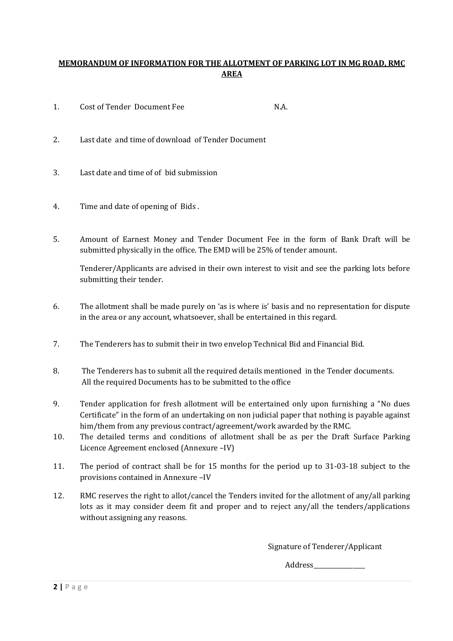## **MEMORANDUM OF INFORMATION FOR THE ALLOTMENT OF PARKING LOT IN MG ROAD, RMC AREA**

- 1. Cost of Tender Document Fee N.A.
- 2. Last date and time of download of Tender Document
- 3. Last date and time of of bid submission
- 4. Time and date of opening of Bids .
- 5. Amount of Earnest Money and Tender Document Fee in the form of Bank Draft will be submitted physically in the office. The EMD will be 25% of tender amount.

Tenderer/Applicants are advised in their own interest to visit and see the parking lots before submitting their tender.

- 6. The allotment shall be made purely on 'as is where is' basis and no representation for dispute in the area or any account, whatsoever, shall be entertained in this regard.
- 7. The Tenderers has to submit their in two envelop Technical Bid and Financial Bid.
- 8. The Tenderers has to submit all the required details mentioned in the Tender documents. All the required Documents has to be submitted to the office
- 9. Tender application for fresh allotment will be entertained only upon furnishing a "No dues Certificate" in the form of an undertaking on non judicial paper that nothing is payable against him/them from any previous contract/agreement/work awarded by the RMC.
- 10. The detailed terms and conditions of allotment shall be as per the Draft Surface Parking Licence Agreement enclosed (Annexure –IV)
- 11. The period of contract shall be for 15 months for the period up to 31-03-18 subject to the provisions contained in Annexure –IV
- 12. RMC reserves the right to allot/cancel the Tenders invited for the allotment of any/all parking lots as it may consider deem fit and proper and to reject any/all the tenders/applications without assigning any reasons.

Signature of Tenderer/Applicant

Address\_\_\_\_\_\_\_\_\_\_\_\_\_\_\_\_\_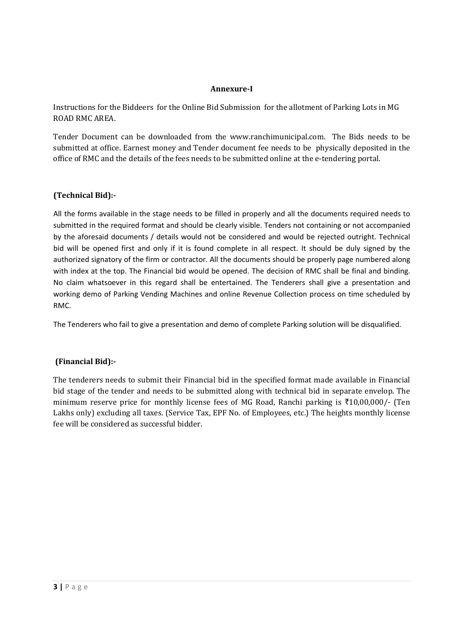## **Annexure-I**

Instructions for the Biddeers for the Online Bid Submission for the allotment of Parking Lots in MG ROAD RMC AREA.

Tender Document can be downloaded from the www.ranchimunicipal.com. The Bids needs to be submitted at office. Earnest money and Tender document fee needs to be physically deposited in the office of RMC and the details of the fees needs to be submitted online at the e-tendering portal.

## **(Technical Bid):-**

All the forms available in the stage needs to be filled in properly and all the documents required needs to submitted in the required format and should be clearly visible. Tenders not containing or not accompanied by the aforesaid documents / details would not be considered and would be rejected outright. Technical bid will be opened first and only if it is found complete in all respect. It should be duly signed by the authorized signatory of the firm or contractor. All the documents should be properly page numbered along with index at the top. The Financial bid would be opened. The decision of RMC shall be final and binding. No claim whatsoever in this regard shall be entertained. The Tenderers shall give a presentation and working demo of Parking Vending Machines and online Revenue Collection process on time scheduled by RMC.

The Tenderers who fail to give a presentation and demo of complete Parking solution will be disqualified.

## **(Financial Bid):-**

The tenderers needs to submit their Financial bid in the specified format made available in Financial bid stage of the tender and needs to be submitted along with technical bid in separate envelop. The minimum reserve price for monthly license fees of MG Road, Ranchi parking is  $\text{\textless}10,00,000/$ - (Ten Lakhs only) excluding all taxes. (Service Tax, EPF No. of Employees, etc.) The heights monthly license fee will be considered as successful bidder.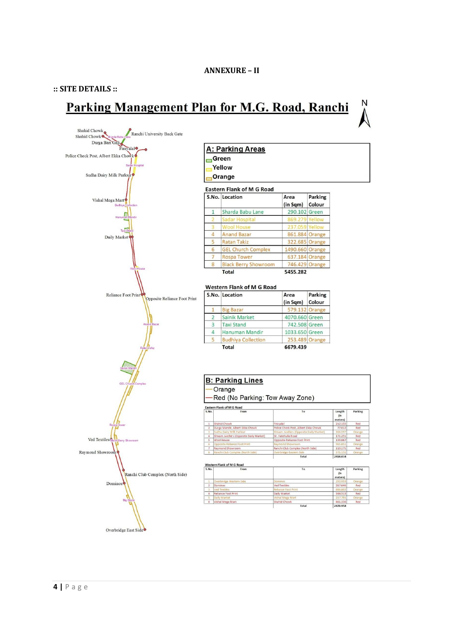### **:: SITE DETAILS ::**

# Parking Management Plan for M.G. Road, Ranchi

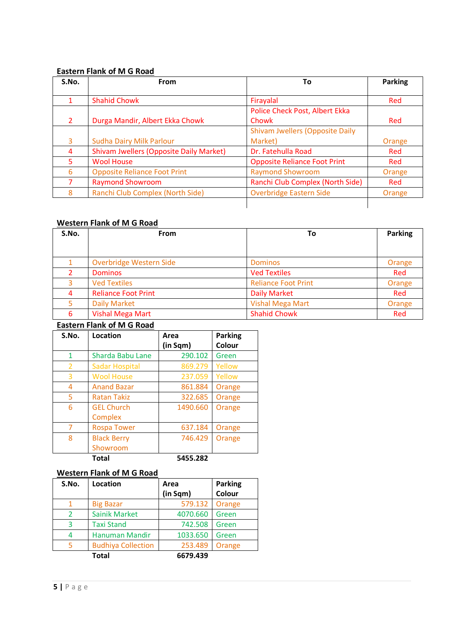## **Eastern Flank of M G Road**

| S.No. | <b>From</b>                                    | Τo                                     | <b>Parking</b> |
|-------|------------------------------------------------|----------------------------------------|----------------|
|       | <b>Shahid Chowk</b>                            | Firayalal                              | Red            |
|       |                                                | Police Check Post, Albert Ekka         |                |
|       | Durga Mandir, Albert Ekka Chowk                | Chowk                                  | Red            |
|       |                                                | <b>Shivam Jwellers (Opposite Daily</b> |                |
| 3     | <b>Sudha Dairy Milk Parlour</b>                | Market)                                | Orange         |
| 4     | <b>Shivam Jwellers (Opposite Daily Market)</b> | Dr. Fatehulla Road                     | Red            |
| 5.    | <b>Wool House</b>                              | <b>Opposite Reliance Foot Print</b>    | Red            |
| 6     | <b>Opposite Reliance Foot Print</b>            | <b>Raymond Showroom</b>                | Orange         |
|       | <b>Raymond Showroom</b>                        | Ranchi Club Complex (North Side)       | Red            |
| 8     | Ranchi Club Complex (North Side)               | <b>Overbridge Eastern Side</b>         | Orange         |

## **Western Flank of M G Road**

| S.No. | From                       | To                         | Parking |
|-------|----------------------------|----------------------------|---------|
|       |                            |                            |         |
|       | Overbridge Western Side    | <b>Dominos</b>             | Orange  |
|       | <b>Dominos</b>             | <b>Ved Textiles</b>        | Red     |
|       | <b>Ved Textiles</b>        | <b>Reliance Foot Print</b> | Orange  |
| 4     | <b>Reliance Foot Print</b> | <b>Daily Market</b>        | Red     |
|       | <b>Daily Market</b>        | <b>Vishal Mega Mart</b>    | Orange  |
| 6     | <b>Vishal Mega Mart</b>    | <b>Shahid Chowk</b>        | Red     |

## **Eastern Flank of M G Road**

| S.No.          | <b>Location</b>       | Area     | <b>Parking</b> |
|----------------|-----------------------|----------|----------------|
|                |                       | (in Sqm) | Colour         |
| 1              | Sharda Babu Lane      | 290.102  | Green          |
| $\overline{2}$ | <b>Sadar Hospital</b> | 869.279  | Yellow         |
| 3              | <b>Wool House</b>     | 237.059  | Yellow         |
| 4              | <b>Anand Bazar</b>    | 861.884  | Orange         |
| 5              | Ratan Takiz           | 322.685  | Orange         |
| 6              | <b>GEL Church</b>     | 1490.660 | Orange         |
|                | Complex               |          |                |
| 7              | <b>Rospa Tower</b>    | 637.184  | Orange         |
| 8              | <b>Black Berry</b>    | 746.429  | Orange         |
|                | Showroom              |          |                |
|                | <b>Total</b>          | 5455.282 |                |

## **Western Flank of M G Road**

| S.No.          | <b>Location</b>           | Area     | <b>Parking</b> |
|----------------|---------------------------|----------|----------------|
|                |                           | (in Sqm) | Colour         |
|                | <b>Big Bazar</b>          | 579.132  | Orange         |
| $\overline{2}$ | <b>Sainik Market</b>      | 4070.660 | Green          |
| 3              | <b>Taxi Stand</b>         | 742.508  | Green          |
| 4              | <b>Hanuman Mandir</b>     | 1033.650 | Green          |
| 5              | <b>Budhiya Collection</b> | 253.489  | Orange         |
|                | <b>Total</b>              | 6679.439 |                |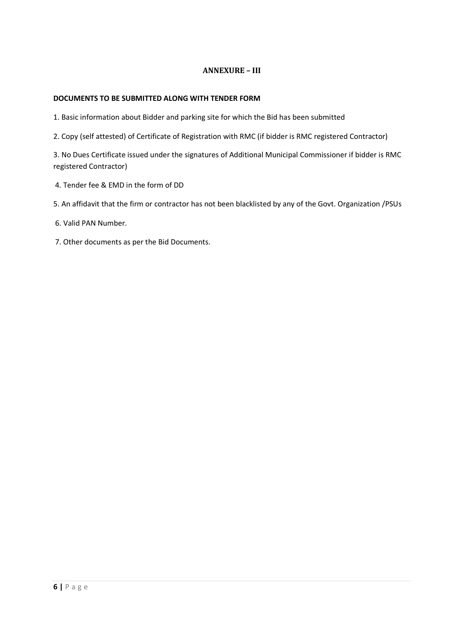## **ANNEXURE – III**

#### **DOCUMENTS TO BE SUBMITTED ALONG WITH TENDER FORM**

1. Basic information about Bidder and parking site for which the Bid has been submitted

2. Copy (self attested) of Certificate of Registration with RMC (if bidder is RMC registered Contractor)

3. No Dues Certificate issued under the signatures of Additional Municipal Commissioner if bidder is RMC registered Contractor)

- 4. Tender fee & EMD in the form of DD
- 5. An affidavit that the firm or contractor has not been blacklisted by any of the Govt. Organization /PSUs

6. Valid PAN Number.

7. Other documents as per the Bid Documents.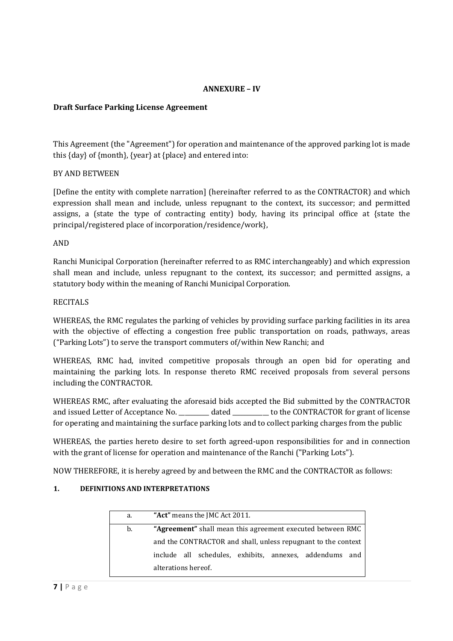## **ANNEXURE – IV**

## **Draft Surface Parking License Agreement**

This Agreement (the "Agreement") for operation and maintenance of the approved parking lot is made this {day} of {month}, {year} at {place} and entered into:

### BY AND BETWEEN

[Define the entity with complete narration] (hereinafter referred to as the CONTRACTOR) and which expression shall mean and include, unless repugnant to the context, its successor; and permitted assigns, a (state the type of contracting entity) body, having its principal office at {state the principal/registered place of incorporation/residence/work},

### AND

Ranchi Municipal Corporation (hereinafter referred to as RMC interchangeably) and which expression shall mean and include, unless repugnant to the context, its successor; and permitted assigns, a statutory body within the meaning of Ranchi Municipal Corporation.

### RECITALS

WHEREAS, the RMC regulates the parking of vehicles by providing surface parking facilities in its area with the objective of effecting a congestion free public transportation on roads, pathways, areas ("Parking Lots") to serve the transport commuters of/within New Ranchi; and

WHEREAS, RMC had, invited competitive proposals through an open bid for operating and maintaining the parking lots. In response thereto RMC received proposals from several persons including the CONTRACTOR.

WHEREAS RMC, after evaluating the aforesaid bids accepted the Bid submitted by the CONTRACTOR and issued Letter of Acceptance No. \_\_\_\_\_\_\_\_\_\_ dated \_\_\_\_\_\_\_\_\_\_\_\_ to the CONTRACTOR for grant of license for operating and maintaining the surface parking lots and to collect parking charges from the public

WHEREAS, the parties hereto desire to set forth agreed-upon responsibilities for and in connection with the grant of license for operation and maintenance of the Ranchi ("Parking Lots").

NOW THEREFORE, it is hereby agreed by and between the RMC and the CONTRACTOR as follows:

#### **1. DEFINITIONS AND INTERPRETATIONS**

| a. | "Act" means the JMC Act 2011.                                 |  |  |
|----|---------------------------------------------------------------|--|--|
| b. | "Agreement" shall mean this agreement executed between RMC    |  |  |
|    | and the CONTRACTOR and shall, unless repugnant to the context |  |  |
|    | include all schedules, exhibits, annexes, addendums and       |  |  |
|    | alterations hereof.                                           |  |  |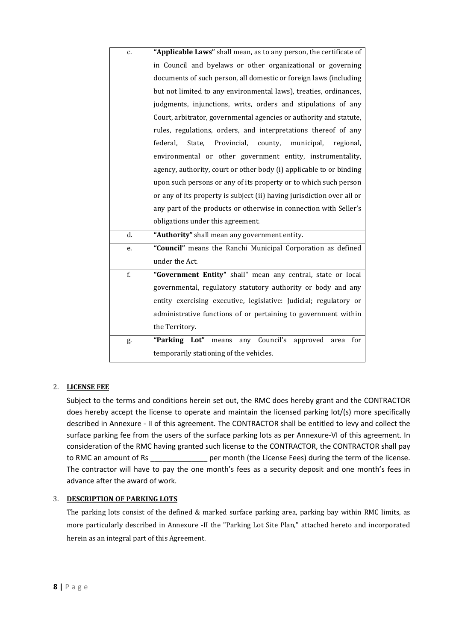| c. | "Applicable Laws" shall mean, as to any person, the certificate of      |  |  |
|----|-------------------------------------------------------------------------|--|--|
|    | in Council and byelaws or other organizational or governing             |  |  |
|    | documents of such person, all domestic or foreign laws (including       |  |  |
|    | but not limited to any environmental laws), treaties, ordinances,       |  |  |
|    | judgments, injunctions, writs, orders and stipulations of any           |  |  |
|    | Court, arbitrator, governmental agencies or authority and statute,      |  |  |
|    | rules, regulations, orders, and interpretations thereof of any          |  |  |
|    | State,<br>Provincial,<br>county,<br>federal.<br>municipal,<br>regional. |  |  |
|    | environmental or other government entity, instrumentality,              |  |  |
|    | agency, authority, court or other body (i) applicable to or binding     |  |  |
|    | upon such persons or any of its property or to which such person        |  |  |
|    | or any of its property is subject (ii) having jurisdiction over all or  |  |  |
|    | any part of the products or otherwise in connection with Seller's       |  |  |
|    | obligations under this agreement.                                       |  |  |
| d. | "Authority" shall mean any government entity.                           |  |  |
| e. | "Council" means the Ranchi Municipal Corporation as defined             |  |  |
|    | under the Act.                                                          |  |  |
| f. | "Government Entity" shall" mean any central, state or local             |  |  |
|    | governmental, regulatory statutory authority or body and any            |  |  |
|    | entity exercising executive, legislative: Judicial; regulatory or       |  |  |
|    | administrative functions of or pertaining to government within          |  |  |
|    | the Territory.                                                          |  |  |
| g. | "Parking Lot"<br>means<br>any Council's<br>approved<br>for<br>area      |  |  |
|    |                                                                         |  |  |
|    | temporarily stationing of the vehicles.                                 |  |  |

## 2. **LICENSE FEE**

Subject to the terms and conditions herein set out, the RMC does hereby grant and the CONTRACTOR does hereby accept the license to operate and maintain the licensed parking lot/(s) more specifically described in Annexure - II of this agreement. The CONTRACTOR shall be entitled to levy and collect the surface parking fee from the users of the surface parking lots as per Annexure-VI of this agreement. In consideration of the RMC having granted such license to the CONTRACTOR, the CONTRACTOR shall pay to RMC an amount of Rs \_\_\_\_\_\_\_\_\_\_\_\_\_\_\_\_ per month (the License Fees) during the term of the license. The contractor will have to pay the one month's fees as a security deposit and one month's fees in advance after the award of work.

#### 3. **DESCRIPTION OF PARKING LOTS**

The parking lots consist of the defined & marked surface parking area, parking bay within RMC limits, as more particularly described in Annexure -II the "Parking Lot Site Plan," attached hereto and incorporated herein as an integral part of this Agreement.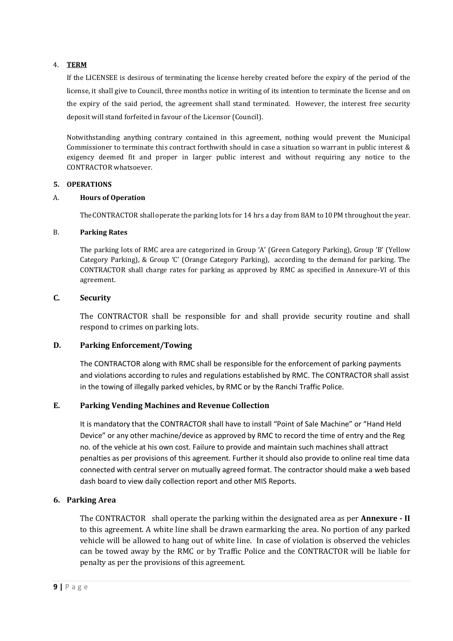### 4. **TERM**

If the LICENSEE is desirous of terminating the license hereby created before the expiry of the period of the license, it shall give to Council, three months notice in writing of its intention to terminate the license and on the expiry of the said period, the agreement shall stand terminated. However, the interest free security deposit will stand forfeited in favour of the Licensor (Council).

Notwithstanding anything contrary contained in this agreement, nothing would prevent the Municipal Commissioner to terminate this contract forthwith should in case a situation so warrant in public interest & exigency deemed fit and proper in larger public interest and without requiring any notice to the CONTRACTOR whatsoever.

#### **5. OPERATIONS**

#### A. **Hours of Operation**

TheCONTRACTOR shalloperate the parking lots for 14 hrs a day from 8AM to10PM throughout the year.

#### B. **Parking Rates**

The parking lots of RMC area are categorized in Group 'A' (Green Category Parking), Group 'B' (Yellow Category Parking), & Group 'C' (Orange Category Parking), according to the demand for parking. The CONTRACTOR shall charge rates for parking as approved by RMC as specified in Annexure-VI of this agreement.

### **C. Security**

The CONTRACTOR shall be responsible for and shall provide security routine and shall respond to crimes on parking lots.

## **D. Parking Enforcement/Towing**

The CONTRACTOR along with RMC shall be responsible for the enforcement of parking payments and violations according to rules and regulations established by RMC. The CONTRACTOR shall assist in the towing of illegally parked vehicles, by RMC or by the Ranchi Traffic Police.

## **E. Parking Vending Machines and Revenue Collection**

It is mandatory that the CONTRACTOR shall have to install "Point of Sale Machine" or "Hand Held Device" or any other machine/device as approved by RMC to record the time of entry and the Reg no. of the vehicle at his own cost. Failure to provide and maintain such machines shall attract penalties as per provisions of this agreement. Further it should also provide to online real time data connected with central server on mutually agreed format. The contractor should make a web based dash board to view daily collection report and other MIS Reports.

## **6. Parking Area**

The CONTRACTOR shall operate the parking within the designated area as per **Annexure - II** to this agreement. A white line shall be drawn earmarking the area. No portion of any parked vehicle will be allowed to hang out of white line. In case of violation is observed the vehicles can be towed away by the RMC or by Traffic Police and the CONTRACTOR will be liable for penalty as per the provisions of this agreement.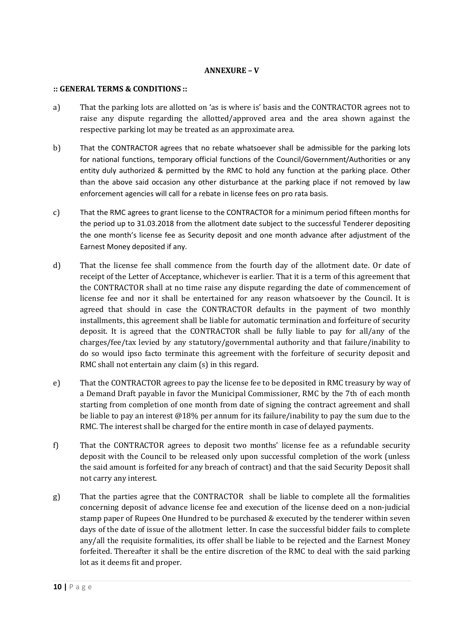### **ANNEXURE – V**

#### **:: GENERAL TERMS & CONDITIONS ::**

- a) That the parking lots are allotted on 'as is where is' basis and the CONTRACTOR agrees not to raise any dispute regarding the allotted/approved area and the area shown against the respective parking lot may be treated as an approximate area.
- b) That the CONTRACTOR agrees that no rebate whatsoever shall be admissible for the parking lots for national functions, temporary official functions of the Council/Government/Authorities or any entity duly authorized & permitted by the RMC to hold any function at the parking place. Other than the above said occasion any other disturbance at the parking place if not removed by law enforcement agencies will call for a rebate in license fees on pro rata basis.
- c) That the RMC agrees to grant license to the CONTRACTOR for a minimum period fifteen months for the period up to 31.03.2018 from the allotment date subject to the successful Tenderer depositing the one month's license fee as Security deposit and one month advance after adjustment of the Earnest Money deposited if any.
- d) That the license fee shall commence from the fourth day of the allotment date. Or date of receipt of the Letter of Acceptance, whichever is earlier. That it is a term of this agreement that the CONTRACTOR shall at no time raise any dispute regarding the date of commencement of license fee and nor it shall be entertained for any reason whatsoever by the Council. It is agreed that should in case the CONTRACTOR defaults in the payment of two monthly installments, this agreement shall be liable for automatic termination and forfeiture of security deposit. It is agreed that the CONTRACTOR shall be fully liable to pay for all/any of the charges/fee/tax levied by any statutory/governmental authority and that failure/inability to do so would ipso facto terminate this agreement with the forfeiture of security deposit and RMC shall not entertain any claim (s) in this regard.
- e) That the CONTRACTOR agrees to pay the license fee to be deposited in RMC treasury by way of a Demand Draft payable in favor the Municipal Commissioner, RMC by the 7th of each month starting from completion of one month from date of signing the contract agreement and shall be liable to pay an interest @18% per annum for its failure/inability to pay the sum due to the RMC. The interest shall be charged for the entire month in case of delayed payments.
- f) That the CONTRACTOR agrees to deposit two months' license fee as a refundable security deposit with the Council to be released only upon successful completion of the work (unless the said amount is forfeited for any breach of contract) and that the said Security Deposit shall not carry any interest.
- g) That the parties agree that the CONTRACTOR shall be liable to complete all the formalities concerning deposit of advance license fee and execution of the license deed on a non-judicial stamp paper of Rupees One Hundred to be purchased & executed by the tenderer within seven days of the date of issue of the allotment letter. In case the successful bidder fails to complete any/all the requisite formalities, its offer shall be liable to be rejected and the Earnest Money forfeited. Thereafter it shall be the entire discretion of the RMC to deal with the said parking lot as it deems fit and proper.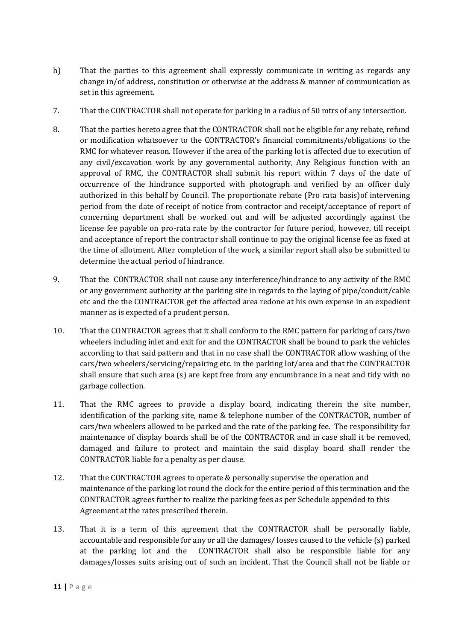- h) That the parties to this agreement shall expressly communicate in writing as regards any change in/of address, constitution or otherwise at the address & manner of communication as set in this agreement.
- 7. That the CONTRACTOR shall not operate for parking in a radius of 50 mtrs of any intersection.
- 8. That the parties hereto agree that the CONTRACTOR shall not be eligible for any rebate, refund or modification whatsoever to the CONTRACTOR's financial commitments/obligations to the RMC for whatever reason. However if the area of the parking lot is affected due to execution of any civil/excavation work by any governmental authority, Any Religious function with an approval of RMC, the CONTRACTOR shall submit his report within 7 days of the date of occurrence of the hindrance supported with photograph and verified by an officer duly authorized in this behalf by Council. The proportionate rebate (Pro rata basis)of intervening period from the date of receipt of notice from contractor and receipt/acceptance of report of concerning department shall be worked out and will be adjusted accordingly against the license fee payable on pro-rata rate by the contractor for future period, however, till receipt and acceptance of report the contractor shall continue to pay the original license fee as fixed at the time of allotment. After completion of the work, a similar report shall also be submitted to determine the actual period of hindrance.
- 9. That the CONTRACTOR shall not cause any interference/hindrance to any activity of the RMC or any government authority at the parking site in regards to the laying of pipe/conduit/cable etc and the the CONTRACTOR get the affected area redone at his own expense in an expedient manner as is expected of a prudent person.
- 10. That the CONTRACTOR agrees that it shall conform to the RMC pattern for parking of cars/two wheelers including inlet and exit for and the CONTRACTOR shall be bound to park the vehicles according to that said pattern and that in no case shall the CONTRACTOR allow washing of the cars/two wheelers/servicing/repairing etc. in the parking lot/area and that the CONTRACTOR shall ensure that such area (s) are kept free from any encumbrance in a neat and tidy with no garbage collection.
- 11. That the RMC agrees to provide a display board, indicating therein the site number, identification of the parking site, name & telephone number of the CONTRACTOR, number of cars/two wheelers allowed to be parked and the rate of the parking fee. The responsibility for maintenance of display boards shall be of the CONTRACTOR and in case shall it be removed, damaged and failure to protect and maintain the said display board shall render the CONTRACTOR liable for a penalty as per clause.
- 12. That the CONTRACTOR agrees to operate & personally supervise the operation and maintenance of the parking lot round the clock for the entire period of this termination and the CONTRACTOR agrees further to realize the parking fees as per Schedule appended to this Agreement at the rates prescribed therein.
- 13. That it is a term of this agreement that the CONTRACTOR shall be personally liable, accountable and responsible for any or all the damages/ losses caused to the vehicle (s) parked at the parking lot and the CONTRACTOR shall also be responsible liable for any damages/losses suits arising out of such an incident. That the Council shall not be liable or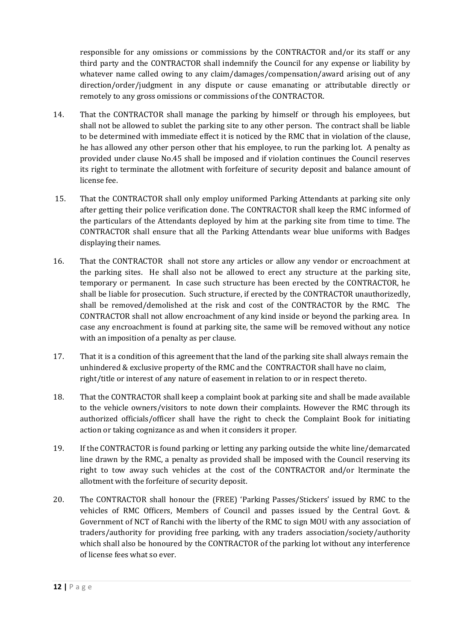responsible for any omissions or commissions by the CONTRACTOR and/or its staff or any third party and the CONTRACTOR shall indemnify the Council for any expense or liability by whatever name called owing to any claim/damages/compensation/award arising out of any direction/order/judgment in any dispute or cause emanating or attributable directly or remotely to any gross omissions or commissions of the CONTRACTOR.

- 14. That the CONTRACTOR shall manage the parking by himself or through his employees, but shall not be allowed to sublet the parking site to any other person. The contract shall be liable to be determined with immediate effect it is noticed by the RMC that in violation of the clause, he has allowed any other person other that his employee, to run the parking lot. A penalty as provided under clause No.45 shall be imposed and if violation continues the Council reserves its right to terminate the allotment with forfeiture of security deposit and balance amount of license fee.
- 15. That the CONTRACTOR shall only employ uniformed Parking Attendants at parking site only after getting their police verification done. The CONTRACTOR shall keep the RMC informed of the particulars of the Attendants deployed by him at the parking site from time to time. The CONTRACTOR shall ensure that all the Parking Attendants wear blue uniforms with Badges displaying their names.
- 16. That the CONTRACTOR shall not store any articles or allow any vendor or encroachment at the parking sites. He shall also not be allowed to erect any structure at the parking site, temporary or permanent. In case such structure has been erected by the CONTRACTOR, he shall be liable for prosecution. Such structure, if erected by the CONTRACTOR unauthorizedly, shall be removed/demolished at the risk and cost of the CONTRACTOR by the RMC. The CONTRACTOR shall not allow encroachment of any kind inside or beyond the parking area. In case any encroachment is found at parking site, the same will be removed without any notice with an imposition of a penalty as per clause.
- 17. That it is a condition of this agreement that the land of the parking site shall always remain the unhindered & exclusive property of the RMC and the CONTRACTOR shall have no claim, right/title or interest of any nature of easement in relation to or in respect thereto.
- 18. That the CONTRACTOR shall keep a complaint book at parking site and shall be made available to the vehicle owners/visitors to note down their complaints. However the RMC through its authorized officials/officer shall have the right to check the Complaint Book for initiating action or taking cognizance as and when it considers it proper.
- 19. If the CONTRACTOR is found parking or letting any parking outside the white line/demarcated line drawn by the RMC, a penalty as provided shall be imposed with the Council reserving its right to tow away such vehicles at the cost of the CONTRACTOR and/or lterminate the allotment with the forfeiture of security deposit.
- 20. The CONTRACTOR shall honour the (FREE) 'Parking Passes/Stickers' issued by RMC to the vehicles of RMC Officers, Members of Council and passes issued by the Central Govt. & Government of NCT of Ranchi with the liberty of the RMC to sign MOU with any association of traders/authority for providing free parking, with any traders association/society/authority which shall also be honoured by the CONTRACTOR of the parking lot without any interference of license fees what so ever.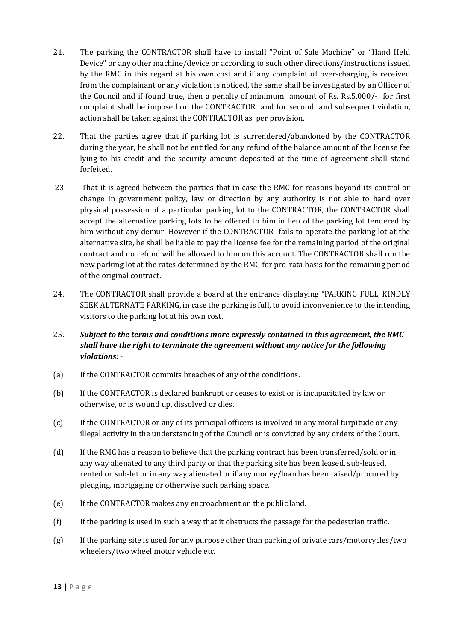- 21. The parking the CONTRACTOR shall have to install "Point of Sale Machine" or "Hand Held Device" or any other machine/device or according to such other directions/instructions issued by the RMC in this regard at his own cost and if any complaint of over-charging is received from the complainant or any violation is noticed, the same shall be investigated by an Officer of the Council and if found true, then a penalty of minimum amount of Rs. Rs.5,000/- for first complaint shall be imposed on the CONTRACTOR and for second and subsequent violation, action shall be taken against the CONTRACTOR as per provision.
- 22. That the parties agree that if parking lot is surrendered/abandoned by the CONTRACTOR during the year, he shall not be entitled for any refund of the balance amount of the license fee lying to his credit and the security amount deposited at the time of agreement shall stand forfeited.
- 23. That it is agreed between the parties that in case the RMC for reasons beyond its control or change in government policy, law or direction by any authority is not able to hand over physical possession of a particular parking lot to the CONTRACTOR, the CONTRACTOR shall accept the alternative parking lots to be offered to him in lieu of the parking lot tendered by him without any demur. However if the CONTRACTOR fails to operate the parking lot at the alternative site, he shall be liable to pay the license fee for the remaining period of the original contract and no refund will be allowed to him on this account. The CONTRACTOR shall run the new parking lot at the rates determined by the RMC for pro-rata basis for the remaining period of the original contract.
- 24. The CONTRACTOR shall provide a board at the entrance displaying "PARKING FULL, KINDLY SEEK ALTERNATE PARKING, in case the parking is full, to avoid inconvenience to the intending visitors to the parking lot at his own cost.
- 25. *Subject to the terms and conditions more expressly contained in this agreement, the RMC shall have the right to terminate the agreement without any notice for the following violations:* -
- (a) If the CONTRACTOR commits breaches of any of the conditions.
- (b) If the CONTRACTOR is declared bankrupt or ceases to exist or is incapacitated by law or otherwise, or is wound up, dissolved or dies.
- (c) If the CONTRACTOR or any of its principal officers is involved in any moral turpitude or any illegal activity in the understanding of the Council or is convicted by any orders of the Court.
- (d) If the RMC has a reason to believe that the parking contract has been transferred/sold or in any way alienated to any third party or that the parking site has been leased, sub-leased, rented or sub-let or in any way alienated or if any money/loan has been raised/procured by pledging, mortgaging or otherwise such parking space.
- (e) If the CONTRACTOR makes any encroachment on the public land.
- (f) If the parking is used in such a way that it obstructs the passage for the pedestrian traffic.
- (g) If the parking site is used for any purpose other than parking of private cars/motorcycles/two wheelers/two wheel motor vehicle etc.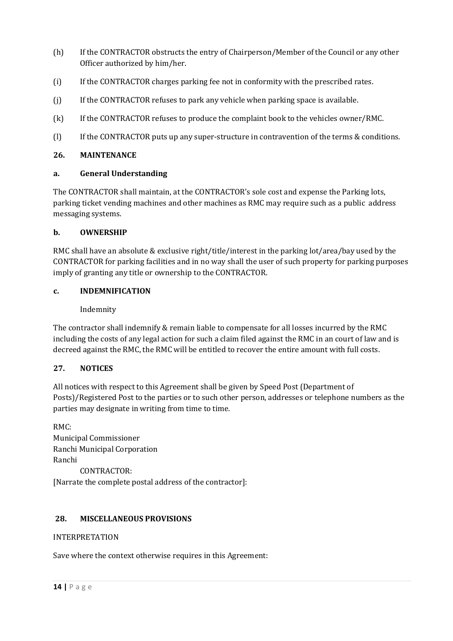- (h) If the CONTRACTOR obstructs the entry of Chairperson/Member of the Council or any other Officer authorized by him/her.
- (i) If the CONTRACTOR charges parking fee not in conformity with the prescribed rates.
- (j) If the CONTRACTOR refuses to park any vehicle when parking space is available.
- (k) If the CONTRACTOR refuses to produce the complaint book to the vehicles owner/RMC.
- (l) If the CONTRACTOR puts up any super-structure in contravention of the terms & conditions.

## **26. MAINTENANCE**

### **a. General Understanding**

The CONTRACTOR shall maintain, at the CONTRACTOR's sole cost and expense the Parking lots, parking ticket vending machines and other machines as RMC may require such as a public address messaging systems.

## **b. OWNERSHIP**

RMC shall have an absolute & exclusive right/title/interest in the parking lot/area/bay used by the CONTRACTOR for parking facilities and in no way shall the user of such property for parking purposes imply of granting any title or ownership to the CONTRACTOR.

### **c. INDEMNIFICATION**

Indemnity

The contractor shall indemnify & remain liable to compensate for all losses incurred by the RMC including the costs of any legal action for such a claim filed against the RMC in an court of law and is decreed against the RMC, the RMC will be entitled to recover the entire amount with full costs.

## **27. NOTICES**

All notices with respect to this Agreement shall be given by Speed Post (Department of Posts)/Registered Post to the parties or to such other person, addresses or telephone numbers as the parties may designate in writing from time to time.

RMC: Municipal Commissioner Ranchi Municipal Corporation Ranchi CONTRACTOR: [Narrate the complete postal address of the contractor]:

## **28. MISCELLANEOUS PROVISIONS**

## INTERPRETATION

Save where the context otherwise requires in this Agreement: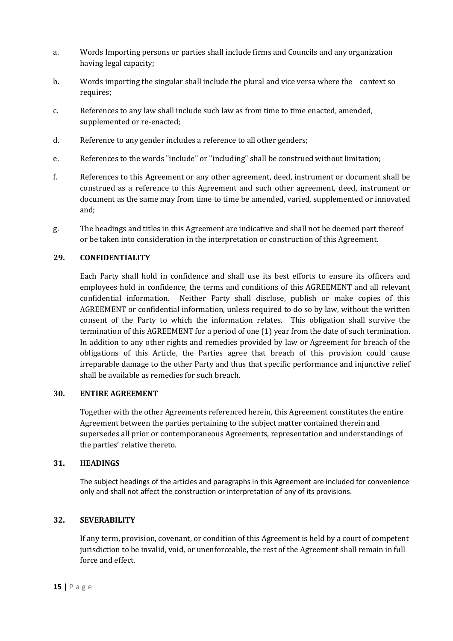- a. Words Importing persons or parties shall include firms and Councils and any organization having legal capacity;
- b. Words importing the singular shall include the plural and vice versa where the context so requires;
- c. References to any law shall include such law as from time to time enacted, amended, supplemented or re-enacted;
- d. Reference to any gender includes a reference to all other genders;
- e. References to the words "include" or "including" shall be construed without limitation;
- f. References to this Agreement or any other agreement, deed, instrument or document shall be construed as a reference to this Agreement and such other agreement, deed, instrument or document as the same may from time to time be amended, varied, supplemented or innovated and;
- g. The headings and titles in this Agreement are indicative and shall not be deemed part thereof or be taken into consideration in the interpretation or construction of this Agreement.

## **29. CONFIDENTIALITY**

Each Party shall hold in confidence and shall use its best efforts to ensure its officers and employees hold in confidence, the terms and conditions of this AGREEMENT and all relevant confidential information. Neither Party shall disclose, publish or make copies of this AGREEMENT or confidential information, unless required to do so by law, without the written consent of the Party to which the information relates. This obligation shall survive the termination of this AGREEMENT for a period of one (1) year from the date of such termination. In addition to any other rights and remedies provided by law or Agreement for breach of the obligations of this Article, the Parties agree that breach of this provision could cause irreparable damage to the other Party and thus that specific performance and injunctive relief shall be available as remedies for such breach.

## **30. ENTIRE AGREEMENT**

Together with the other Agreements referenced herein, this Agreement constitutes the entire Agreement between the parties pertaining to the subject matter contained therein and supersedes all prior or contemporaneous Agreements, representation and understandings of the parties' relative thereto.

## **31. HEADINGS**

The subject headings of the articles and paragraphs in this Agreement are included for convenience only and shall not affect the construction or interpretation of any of its provisions.

## **32. SEVERABILITY**

If any term, provision, covenant, or condition of this Agreement is held by a court of competent jurisdiction to be invalid, void, or unenforceable, the rest of the Agreement shall remain in full force and effect.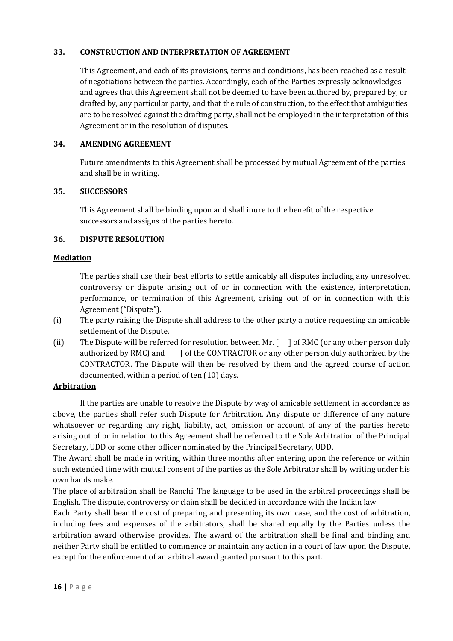## **33. CONSTRUCTION AND INTERPRETATION OF AGREEMENT**

This Agreement, and each of its provisions, terms and conditions, has been reached as a result of negotiations between the parties. Accordingly, each of the Parties expressly acknowledges and agrees that this Agreement shall not be deemed to have been authored by, prepared by, or drafted by, any particular party, and that the rule of construction, to the effect that ambiguities are to be resolved against the drafting party, shall not be employed in the interpretation of this Agreement or in the resolution of disputes.

## **34. AMENDING AGREEMENT**

Future amendments to this Agreement shall be processed by mutual Agreement of the parties and shall be in writing.

## **35. SUCCESSORS**

This Agreement shall be binding upon and shall inure to the benefit of the respective successors and assigns of the parties hereto.

## **36. DISPUTE RESOLUTION**

## **Mediation**

The parties shall use their best efforts to settle amicably all disputes including any unresolved controversy or dispute arising out of or in connection with the existence, interpretation, performance, or termination of this Agreement, arising out of or in connection with this Agreement ("Dispute").

- (i) The party raising the Dispute shall address to the other party a notice requesting an amicable settlement of the Dispute.
- (ii) The Dispute will be referred for resolution between Mr. [ ] of RMC (or any other person duly authorized by RMC) and [ ] of the CONTRACTOR or any other person duly authorized by the CONTRACTOR. The Dispute will then be resolved by them and the agreed course of action documented, within a period of ten (10) days.

## **Arbitration**

 If the parties are unable to resolve the Dispute by way of amicable settlement in accordance as above, the parties shall refer such Dispute for Arbitration. Any dispute or difference of any nature whatsoever or regarding any right, liability, act, omission or account of any of the parties hereto arising out of or in relation to this Agreement shall be referred to the Sole Arbitration of the Principal Secretary, UDD or some other officer nominated by the Principal Secretary, UDD.

The Award shall be made in writing within three months after entering upon the reference or within such extended time with mutual consent of the parties as the Sole Arbitrator shall by writing under his own hands make.

The place of arbitration shall be Ranchi. The language to be used in the arbitral proceedings shall be English. The dispute, controversy or claim shall be decided in accordance with the Indian law.

Each Party shall bear the cost of preparing and presenting its own case, and the cost of arbitration, including fees and expenses of the arbitrators, shall be shared equally by the Parties unless the arbitration award otherwise provides. The award of the arbitration shall be final and binding and neither Party shall be entitled to commence or maintain any action in a court of law upon the Dispute, except for the enforcement of an arbitral award granted pursuant to this part.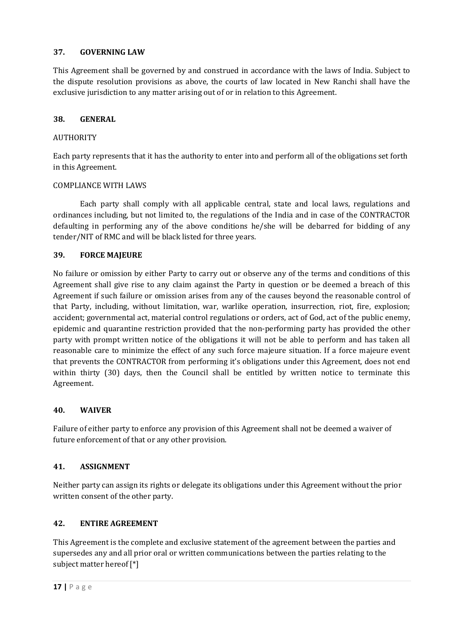## **37. GOVERNING LAW**

This Agreement shall be governed by and construed in accordance with the laws of India. Subject to the dispute resolution provisions as above, the courts of law located in New Ranchi shall have the exclusive jurisdiction to any matter arising out of or in relation to this Agreement.

## **38. GENERAL**

## AUTHORITY

Each party represents that it has the authority to enter into and perform all of the obligations set forth in this Agreement.

## COMPLIANCE WITH LAWS

 Each party shall comply with all applicable central, state and local laws, regulations and ordinances including, but not limited to, the regulations of the India and in case of the CONTRACTOR defaulting in performing any of the above conditions he/she will be debarred for bidding of any tender/NIT of RMC and will be black listed for three years.

## **39. FORCE MAJEURE**

No failure or omission by either Party to carry out or observe any of the terms and conditions of this Agreement shall give rise to any claim against the Party in question or be deemed a breach of this Agreement if such failure or omission arises from any of the causes beyond the reasonable control of that Party, including, without limitation, war, warlike operation, insurrection, riot, fire, explosion; accident; governmental act, material control regulations or orders, act of God, act of the public enemy, epidemic and quarantine restriction provided that the non-performing party has provided the other party with prompt written notice of the obligations it will not be able to perform and has taken all reasonable care to minimize the effect of any such force majeure situation. If a force majeure event that prevents the CONTRACTOR from performing it's obligations under this Agreement, does not end within thirty (30) days, then the Council shall be entitled by written notice to terminate this Agreement.

## **40. WAIVER**

Failure of either party to enforce any provision of this Agreement shall not be deemed a waiver of future enforcement of that or any other provision.

## **41. ASSIGNMENT**

Neither party can assign its rights or delegate its obligations under this Agreement without the prior written consent of the other party.

## **42. ENTIRE AGREEMENT**

This Agreement is the complete and exclusive statement of the agreement between the parties and supersedes any and all prior oral or written communications between the parties relating to the subject matter hereof [\*]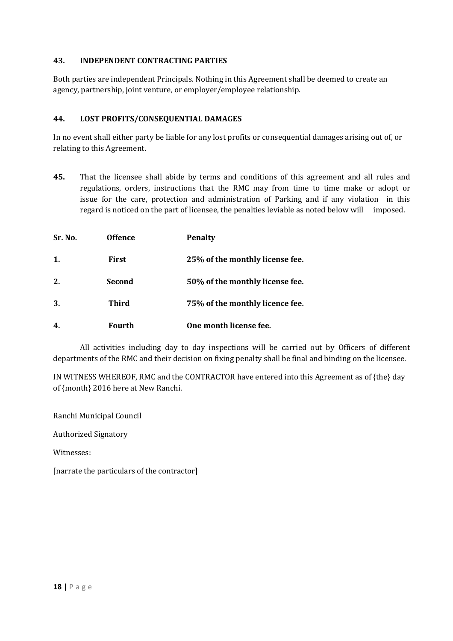## **43. INDEPENDENT CONTRACTING PARTIES**

Both parties are independent Principals. Nothing in this Agreement shall be deemed to create an agency, partnership, joint venture, or employer/employee relationship.

## **44. LOST PROFITS/CONSEQUENTIAL DAMAGES**

In no event shall either party be liable for any lost profits or consequential damages arising out of, or relating to this Agreement.

**45.** That the licensee shall abide by terms and conditions of this agreement and all rules and regulations, orders, instructions that the RMC may from time to time make or adopt or issue for the care, protection and administration of Parking and if any violation in this regard is noticed on the part of licensee, the penalties leviable as noted below will imposed.

| Sr. No. | <b>Offence</b> | <b>Penalty</b>                  |
|---------|----------------|---------------------------------|
| 1.      | <b>First</b>   | 25% of the monthly license fee. |
| 2.      | Second         | 50% of the monthly license fee. |
| 3.      | <b>Third</b>   | 75% of the monthly licence fee. |
| 4.      | Fourth         | One month license fee.          |

 All activities including day to day inspections will be carried out by Officers of different departments of the RMC and their decision on fixing penalty shall be final and binding on the licensee.

IN WITNESS WHEREOF, RMC and the CONTRACTOR have entered into this Agreement as of {the} day of {month} 2016 here at New Ranchi.

Ranchi Municipal Council

Authorized Signatory

Witnesses:

[narrate the particulars of the contractor]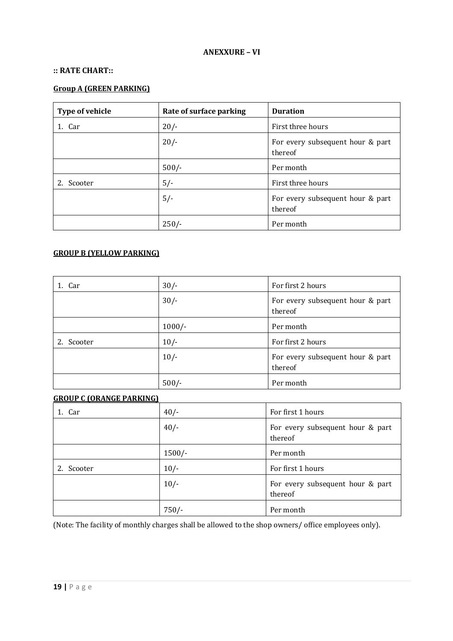## **ANEXXURE – VI**

#### **:: RATE CHART::**

## **Group A (GREEN PARKING)**

| Type of vehicle | Rate of surface parking | <b>Duration</b>                             |
|-----------------|-------------------------|---------------------------------------------|
| 1. Car          | $20/-$                  | First three hours                           |
|                 | 20/                     | For every subsequent hour & part<br>thereof |
|                 | $500/-$                 | Per month                                   |
| Scooter         | $5/-$                   | First three hours                           |
|                 | $5/-$                   | For every subsequent hour & part<br>thereof |
|                 | $250/-$                 | Per month                                   |

### **GROUP B (YELLOW PARKING)**

| 1. Car     | $30/-$   | For first 2 hours                           |
|------------|----------|---------------------------------------------|
|            | $30/-$   | For every subsequent hour & part<br>thereof |
|            | $1000/-$ | Per month                                   |
| 2. Scooter | $10/-$   | For first 2 hours                           |
|            | $10/-$   | For every subsequent hour & part<br>thereof |
|            | $500/-$  | Per month                                   |

#### **GROUP C (ORANGE PARKING)**

| 1. Car  | $40/-$   | For first 1 hours                           |
|---------|----------|---------------------------------------------|
|         | $40/-$   | For every subsequent hour & part<br>thereof |
|         | $1500/-$ | Per month                                   |
| Scooter | $10/-$   | For first 1 hours                           |
|         | $10/-$   | For every subsequent hour & part<br>thereof |
|         | $750/-$  | Per month                                   |

(Note: The facility of monthly charges shall be allowed to the shop owners/ office employees only).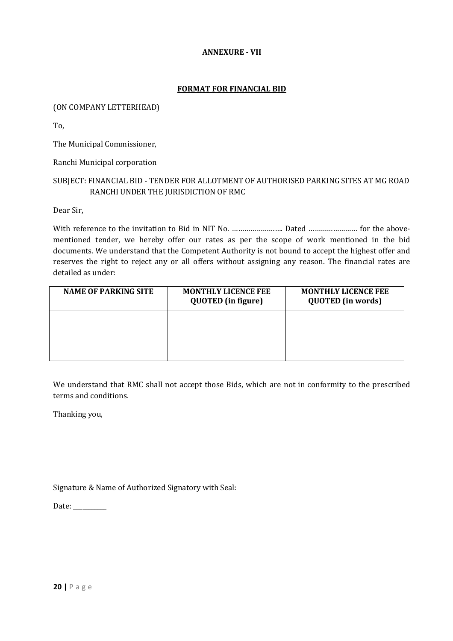## **ANNEXURE - VII**

### **FORMAT FOR FINANCIAL BID**

### (ON COMPANY LETTERHEAD)

To,

The Municipal Commissioner,

Ranchi Municipal corporation

## SUBJECT: FINANCIAL BID - TENDER FOR ALLOTMENT OF AUTHORISED PARKING SITES AT MG ROAD RANCHI UNDER THE JURISDICTION OF RMC

Dear Sir,

With reference to the invitation to Bid in NIT No. ……………………. Dated …………………… for the abovementioned tender, we hereby offer our rates as per the scope of work mentioned in the bid documents. We understand that the Competent Authority is not bound to accept the highest offer and reserves the right to reject any or all offers without assigning any reason. The financial rates are detailed as under:

| <b>NAME OF PARKING SITE</b> | <b>MONTHLY LICENCE FEE</b><br><b>QUOTED</b> (in figure) | <b>MONTHLY LICENCE FEE</b><br><b>QUOTED</b> (in words) |
|-----------------------------|---------------------------------------------------------|--------------------------------------------------------|
|                             |                                                         |                                                        |
|                             |                                                         |                                                        |

We understand that RMC shall not accept those Bids, which are not in conformity to the prescribed terms and conditions.

Thanking you,

Signature & Name of Authorized Signatory with Seal:

Date: \_\_\_\_\_\_\_\_\_\_\_